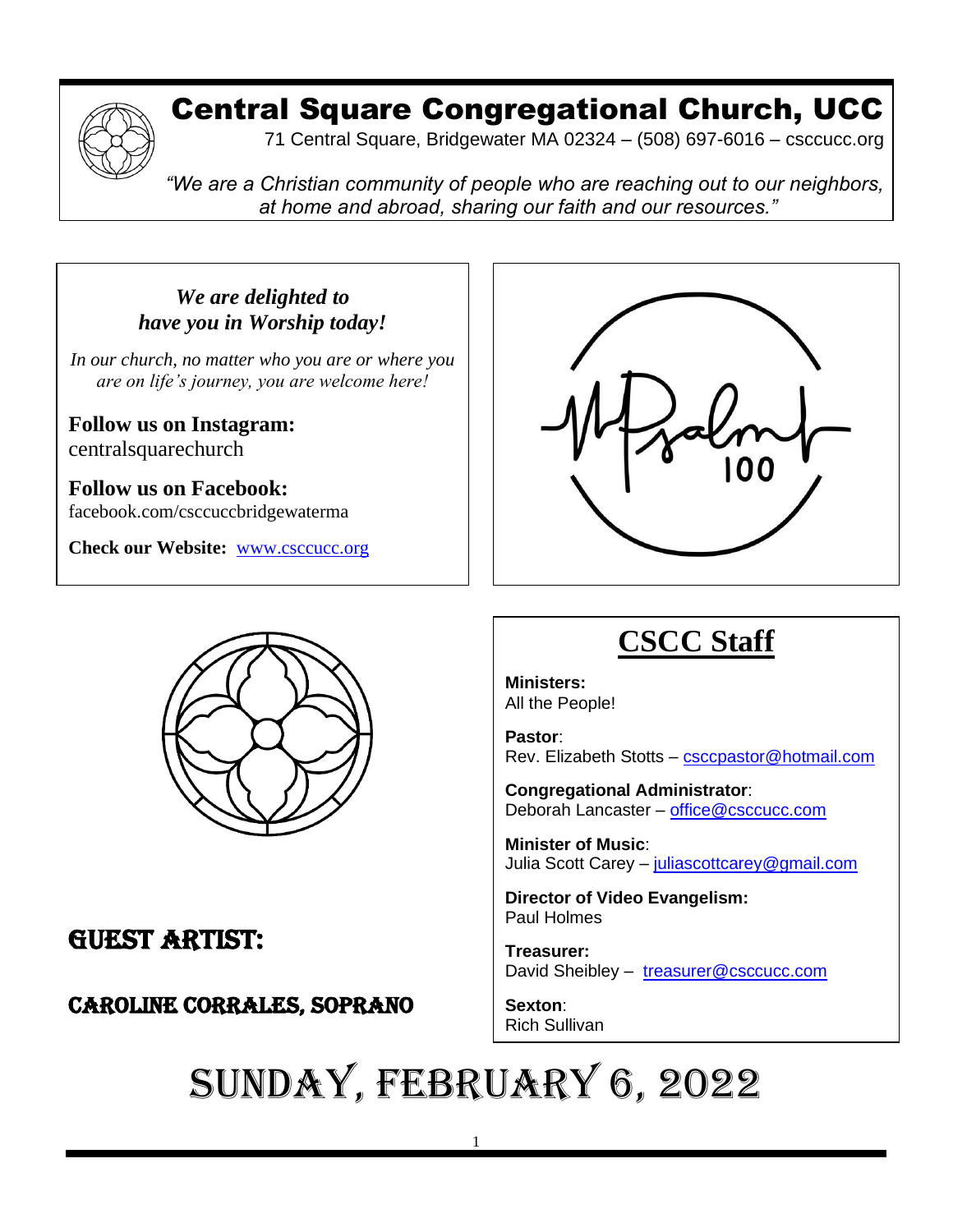

# Central Square Congregational Church, UCC

71 Central Square, Bridgewater MA 02324 – (508) 697-6016 – csccucc.org

*"We are a Christian community of people who are reaching out to our neighbors, at home and abroad, sharing our faith and our resources."*

*We are delighted to have you in Worship today!*

*In our church, no matter who you are or where you are on life's journey, you are welcome here!*

**Follow us on Instagram:** centralsquarechurch

**Follow us on Facebook:** facebook.com/csccuccbridgewaterma

**Check our Website:** [www.csccucc.org](http://www.csccucc.org/)



#### GUEST ARTIST:  $\sim$ supplies.

#### CAROLINE CORRALES, SOPRANO  $y = x + y + z = 0$

that we fail to notice our effect on others. The set of  $\mathcal{O}(n)$ 



# **CSCC Staff**

**Ministers:** All the People!

**Pastor**: Rev. Elizabeth Stotts – [csccpastor@hotmail.com](about:blank)

**Congregational Administrator**: Deborah Lancaster – [office@csccucc.com](about:blank)

**Minister of Music**: Julia Scott Carey - [juliascottcarey@gmail.com](about:blank)

**Director of Video Evangelism:** Paul Holmes

**Treasurer:**  David Sheibley – [treasurer@csccucc.com](about:blank)

**Sexton**: Rich Sullivan

## SUNDAY, FEBRUARY 6, 2022  $\sim$  0 =  $\sim$  -  $\sim$   $\sim$   $\sim$   $\sim$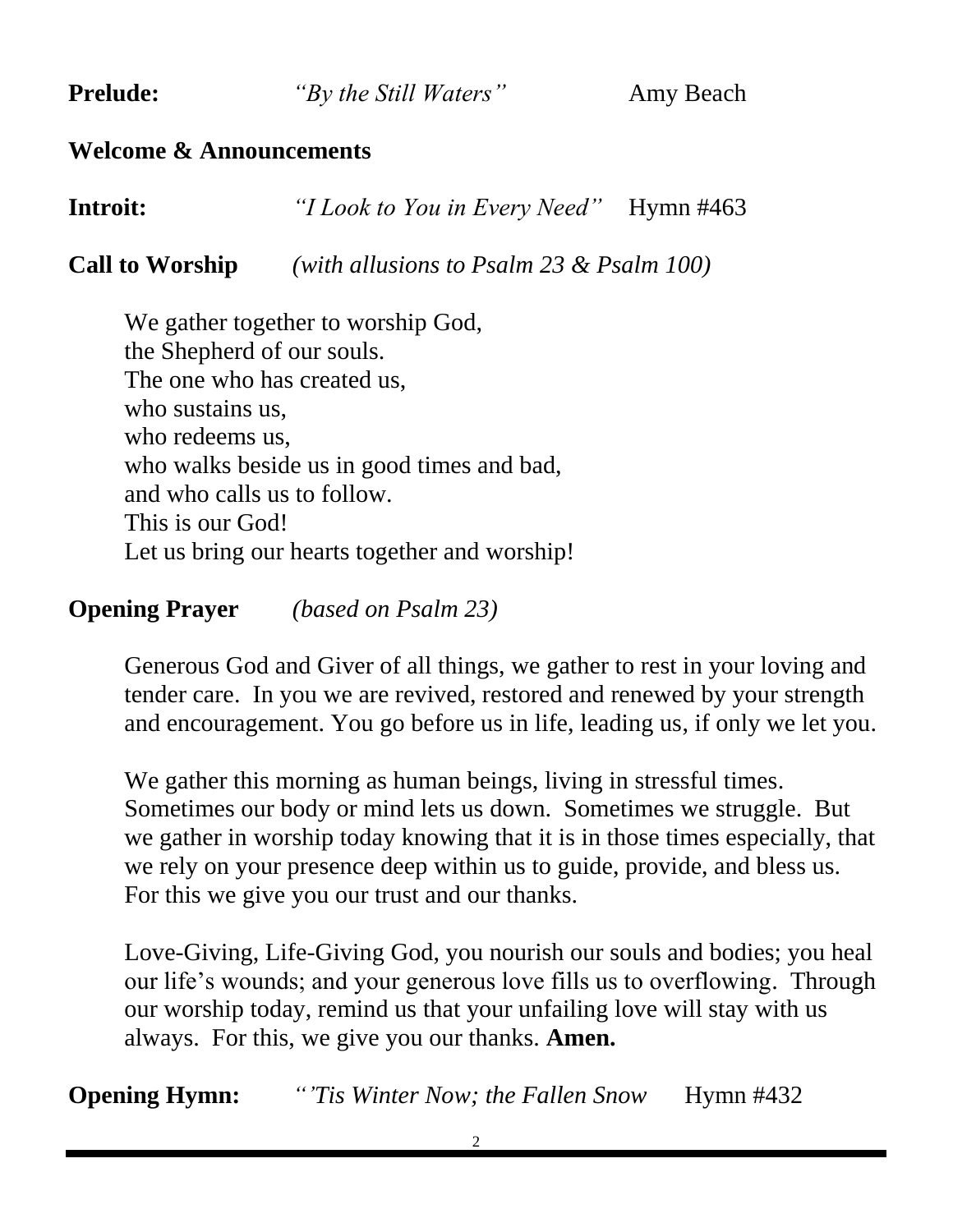**Prelude:** *"By the Still Waters"* Amy Beach

#### **Welcome & Announcements**

**Introit:** *"I Look to You in Every Need"* Hymn #463

**Call to Worship** *(with allusions to Psalm 23 & Psalm 100)*

We gather together to worship God, the Shepherd of our souls. The one who has created us, who sustains us, who redeems us, who walks beside us in good times and bad, and who calls us to follow. This is our God! Let us bring our hearts together and worship!

**Opening Prayer** *(based on Psalm 23)*

Generous God and Giver of all things, we gather to rest in your loving and tender care. In you we are revived, restored and renewed by your strength and encouragement. You go before us in life, leading us, if only we let you.

We gather this morning as human beings, living in stressful times. Sometimes our body or mind lets us down. Sometimes we struggle. But we gather in worship today knowing that it is in those times especially, that we rely on your presence deep within us to guide, provide, and bless us. For this we give you our trust and our thanks.

Love-Giving, Life-Giving God, you nourish our souls and bodies; you heal our life's wounds; and your generous love fills us to overflowing. Through our worship today, remind us that your unfailing love will stay with us always. For this, we give you our thanks. **Amen.**

**Opening Hymn:** *"Tis Winter Now; the Fallen Snow* Hymn #432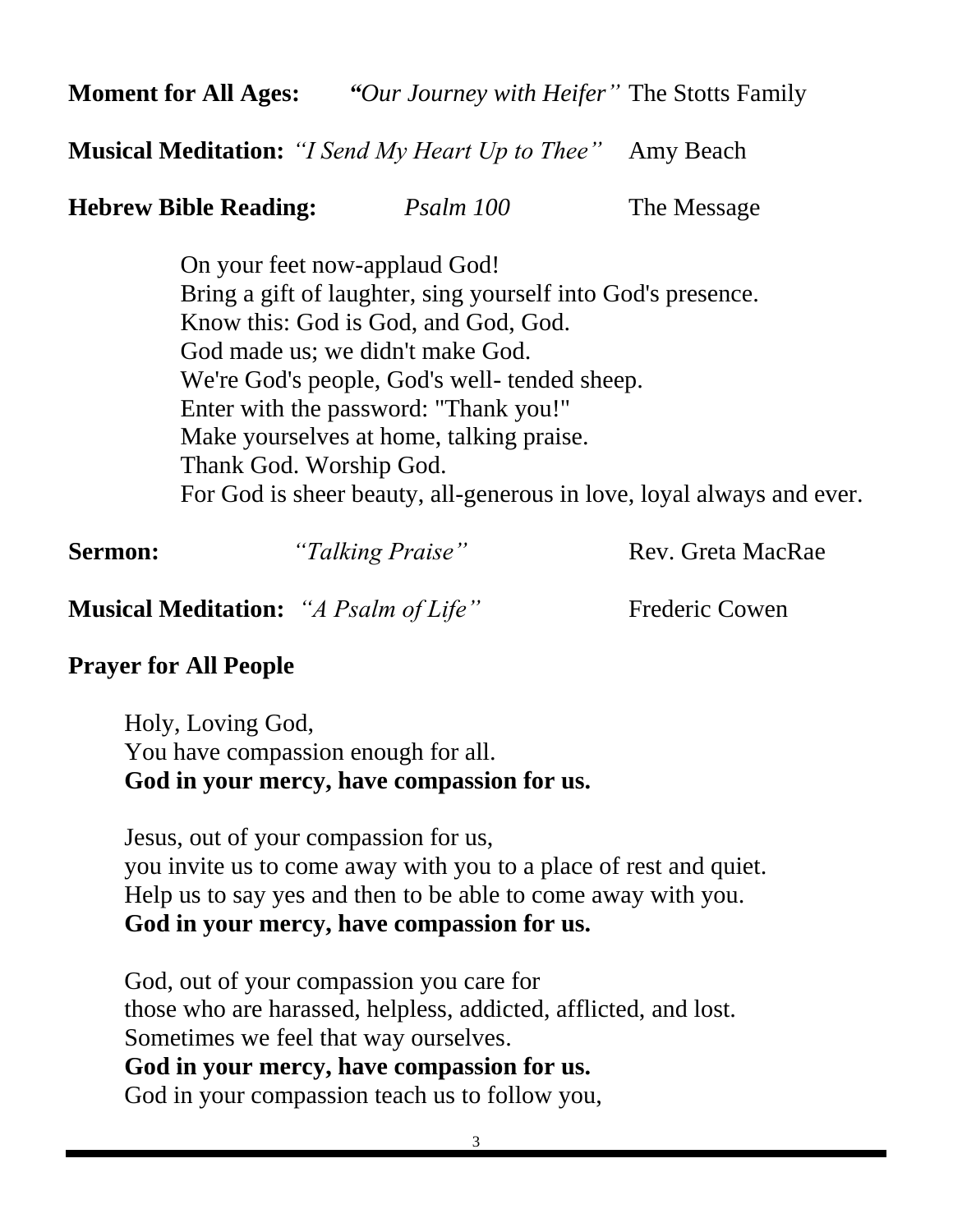**Moment for All Ages:** *"Our Journey with Heifer"* The Stotts Family

**Musical Meditation:** *"I Send My Heart Up to Thee"* Amy Beach

**Hebrew Bible Reading:** *Psalm 100* The Message

On your feet now-applaud God! Bring a gift of laughter, sing yourself into God's presence. Know this: God is God, and God, God. God made us; we didn't make God. We're God's people, God's well- tended sheep. Enter with the password: "Thank you!" Make yourselves at home, talking praise. Thank God. Worship God. For God is sheer beauty, all-generous in love, loyal always and ever.

| <b>Sermon:</b>                               | "Talking Praise" | Rev. Greta MacRae     |
|----------------------------------------------|------------------|-----------------------|
| <b>Musical Meditation:</b> "A Psalm of Life" |                  | <b>Frederic Cowen</b> |

### **Prayer for All People**

Holy, Loving God, You have compassion enough for all. **God in your mercy, have compassion for us.**

Jesus, out of your compassion for us, you invite us to come away with you to a place of rest and quiet. Help us to say yes and then to be able to come away with you. **God in your mercy, have compassion for us.**

God, out of your compassion you care for those who are harassed, helpless, addicted, afflicted, and lost. Sometimes we feel that way ourselves. **God in your mercy, have compassion for us.**

God in your compassion teach us to follow you,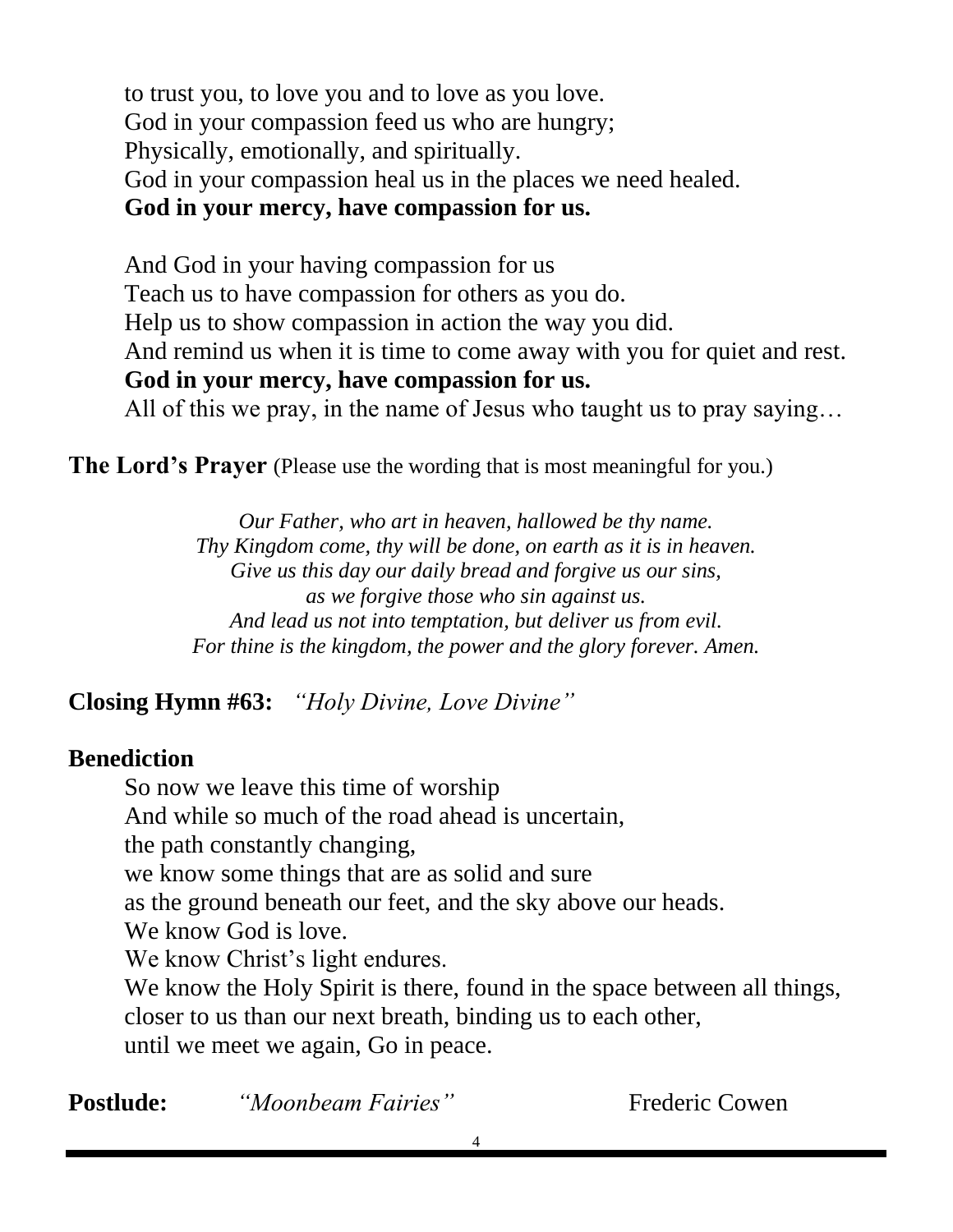to trust you, to love you and to love as you love. God in your compassion feed us who are hungry; Physically, emotionally, and spiritually. God in your compassion heal us in the places we need healed. **God in your mercy, have compassion for us.**

And God in your having compassion for us Teach us to have compassion for others as you do. Help us to show compassion in action the way you did. And remind us when it is time to come away with you for quiet and rest. **God in your mercy, have compassion for us.** All of this we pray, in the name of Jesus who taught us to pray saying…

**The Lord's Prayer** (Please use the wording that is most meaningful for you.)

*Our Father, who art in heaven, hallowed be thy name. Thy Kingdom come, thy will be done, on earth as it is in heaven. Give us this day our daily bread and forgive us our sins, as we forgive those who sin against us. And lead us not into temptation, but deliver us from evil. For thine is the kingdom, the power and the glory forever. Amen.*

**Closing Hymn #63:** *"Holy Divine, Love Divine"*

#### **Benediction**

So now we leave this time of worship And while so much of the road ahead is uncertain, the path constantly changing, we know some things that are as solid and sure as the ground beneath our feet, and the sky above our heads. We know God is love. We know Christ's light endures. We know the Holy Spirit is there, found in the space between all things, closer to us than our next breath, binding us to each other, until we meet we again, Go in peace.

**Postlude:** *"Moonbeam Fairies"* Frederic Cowen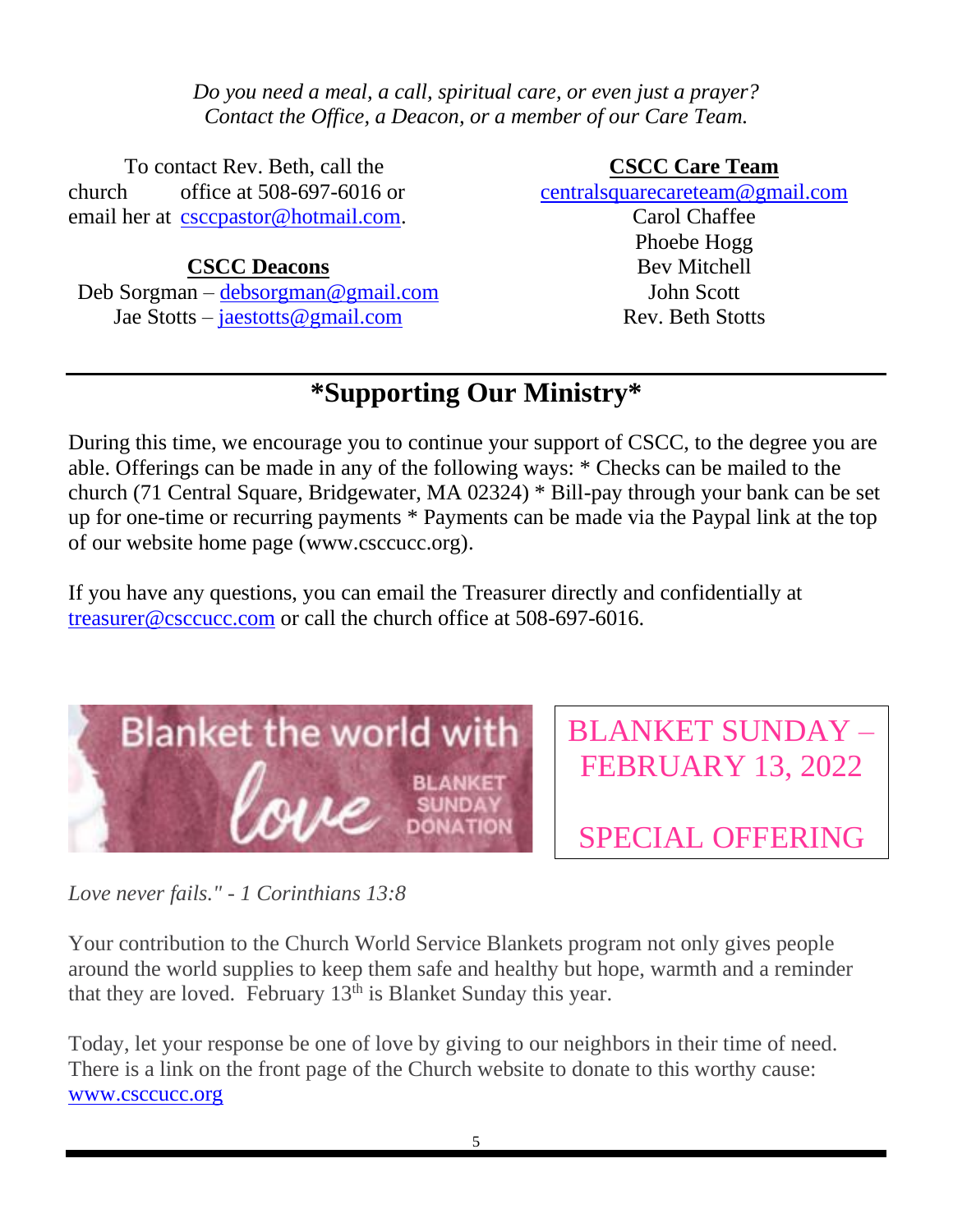*Do you need a meal, a call, spiritual care, or even just a prayer? Contact the Office, a Deacon, or a member of our Care Team.*

To contact Rev. Beth, call the church office at 508-697-6016 or email her at [csccpastor@hotmail.com.](mailto:csccpastor@hotmail.com)

#### **CSCC Deacons**

Deb Sorgman – [debsorgman@gmail.com](mailto:debsorgman@gmail.com) Jae Stotts – [jaestotts@gmail.com](mailto:jaestotts@gmail.com)

#### **CSCC Care Team**

[centralsquarecareteam@gmail.com](mailto:CentralSquareCareTeam@gmail.com)

Carol Chaffee Phoebe Hogg Bev Mitchell John Scott Rev. Beth Stotts

## **\*Supporting Our Ministry\***

During this time, we encourage you to continue your support of CSCC, to the degree you are able. Offerings can be made in any of the following ways: \* Checks can be mailed to the church (71 Central Square, Bridgewater, MA 02324) \* Bill-pay through your bank can be set up for one-time or recurring payments \* Payments can be made via the Paypal link at the top of our website home page (www.csccucc.org).

If you have any questions, you can email the Treasurer directly and confidentially at [treasurer@csccucc.com](mailto:treasurer@csccucc.com) or call the church office at 508-697-6016.



BLANKET SUNDAY – FEBRUARY 13, 2022

SPECIAL OFFERING

*Love never fails." - 1 Corinthians 13:8*

Your contribution to the Church World Service Blankets program not only gives people around the world supplies to keep them safe and healthy but hope, warmth and a reminder that they are loved. February  $13<sup>th</sup>$  is Blanket Sunday this year.

Today, let your response be one of love by giving to our neighbors in their time of need. There is a link on the front page of the Church website to donate to this worthy cause: [www.csccucc.org](http://www.csccucc.org/)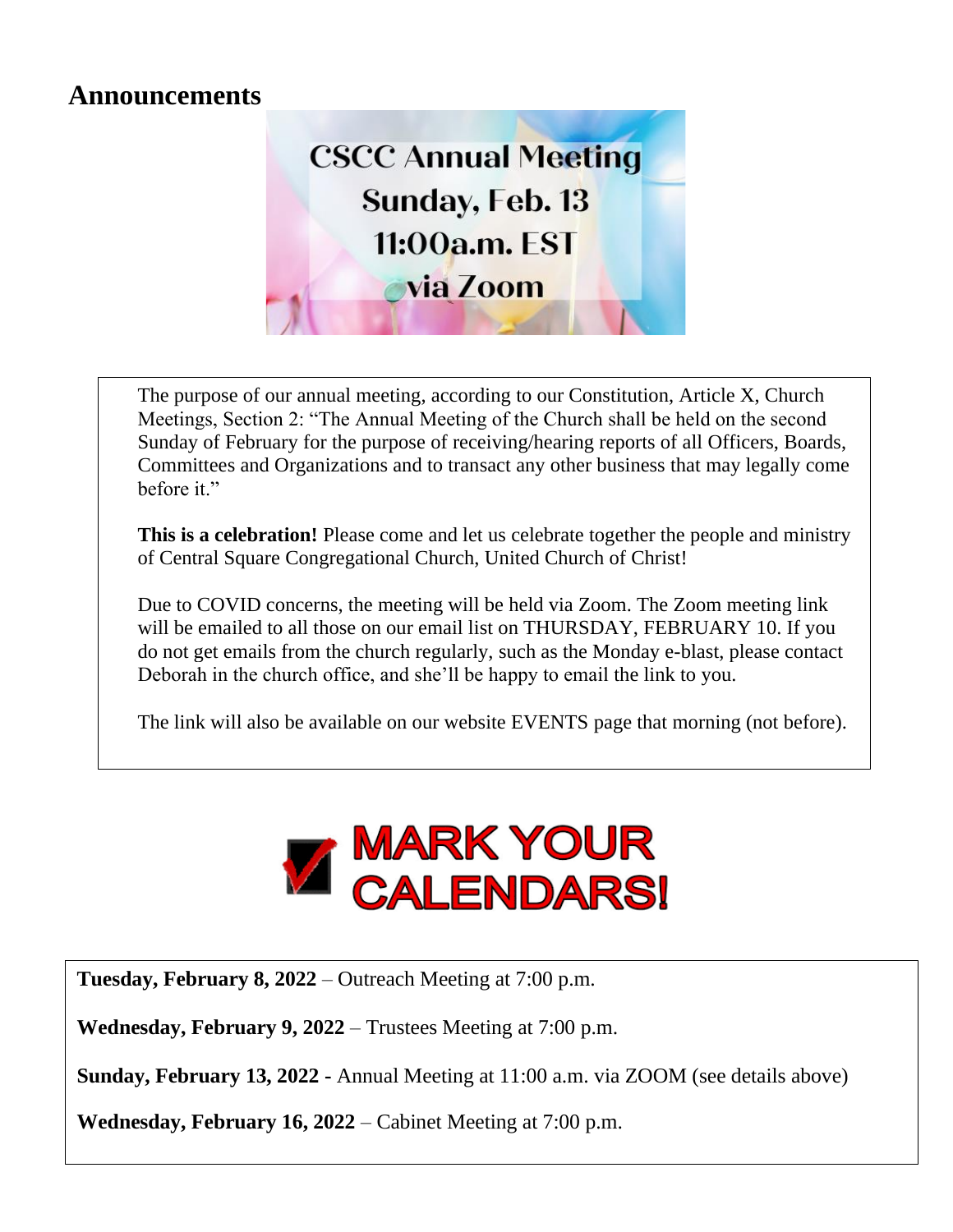### **Announcements**



The purpose of our annual meeting, according to our Constitution, Article X, Church Meetings, Section 2: "The Annual Meeting of the Church shall be held on the second Sunday of February for the purpose of receiving/hearing reports of all Officers, Boards, Committees and Organizations and to transact any other business that may legally come before it."

**This is a celebration!** Please come and let us celebrate together the people and ministry of Central Square Congregational Church, United Church of Christ!

Due to COVID concerns, the meeting will be held via Zoom. The Zoom meeting link will be emailed to all those on our email list on THURSDAY, FEBRUARY 10. If you do not get emails from the church regularly, such as the Monday e-blast, please contact Deborah in the church office, and she'll be happy to email the link to you.

The link will also be available on our website EVENTS page that morning (not before).



**Tuesday, February 8, 2022** – Outreach Meeting at 7:00 p.m.

**Wednesday, February 9, 2022** – Trustees Meeting at 7:00 p.m.

**Sunday, February 13, 2022 -** Annual Meeting at 11:00 a.m. via ZOOM (see details above)

**Wednesday, February 16, 2022** – Cabinet Meeting at 7:00 p.m.